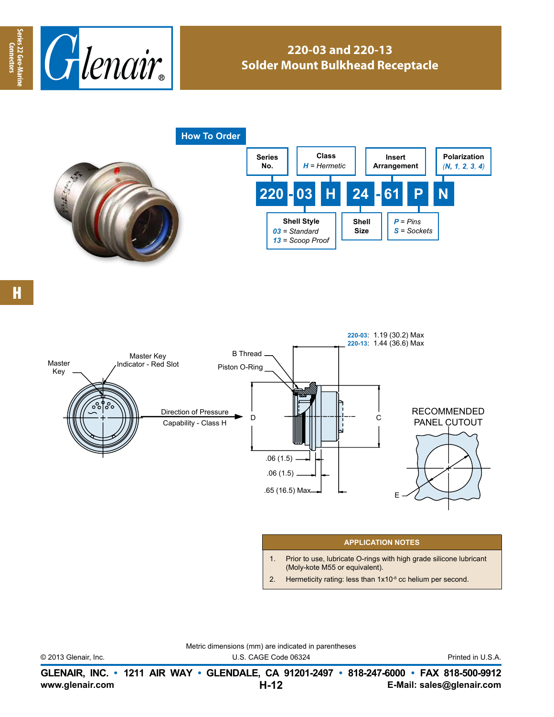

## **220-03 and 220-13 Solder Mount Bulkhead Receptacle**



**Series 22 Geo-Marine Connectors**

Series 22 Geo-Mar

Connectors



## **APPLICATION NOTES**

- 1. Prior to use, lubricate O-rings with high grade silicone lubricant (Moly-kote M55 or equivalent).
- 2. Hermeticity rating: less than  $1x10^{-6}$  cc helium per second.

Metric dimensions (mm) are indicated in parentheses

© 2013 Glenair, Inc. U.S. CAGE Code 06324 Printed in U.S.A.

**www.glenair.com E-Mail: sales@glenair.com GLENAIR, INC. • 1211 AIR WAY • GLENDALE, CA 91201-2497 • 818-247-6000 • FAX 818-500-9912 H-12**